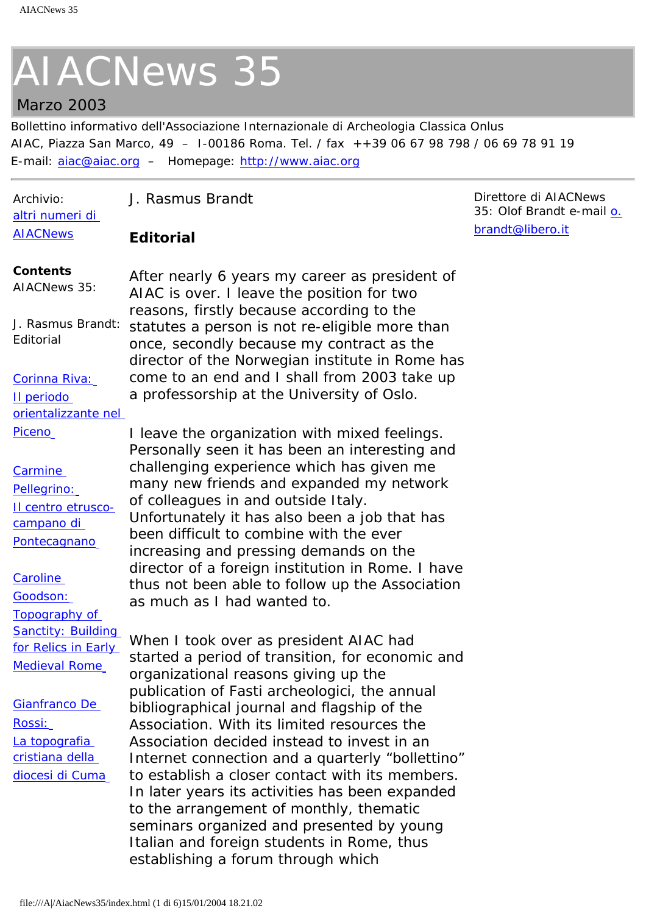## <span id="page-0-0"></span>Marzo 2003

Bollettino informativo dell'Associazione Internazionale di Archeologia Classica Onlus AIAC, Piazza San Marco, 49 – I-00186 Roma. Tel. / fax ++39 06 67 98 798 / 06 69 78 91 19 E-mail: [aiac@aiac.org](mailto:aiac@aiac.org) – Homepage: [http://www.aiac.org](http://www.aiac.org/)

| Archivio:<br>altri numeri di                                                                                        | J. Rasmus Brandt                                                                                                                                                                                                                                                                                                                                                                                                                                            | Direttore di AIACNews<br>35: Olof Brandt e-mail o. |
|---------------------------------------------------------------------------------------------------------------------|-------------------------------------------------------------------------------------------------------------------------------------------------------------------------------------------------------------------------------------------------------------------------------------------------------------------------------------------------------------------------------------------------------------------------------------------------------------|----------------------------------------------------|
| <b>AIACNews</b>                                                                                                     | <b>Editorial</b>                                                                                                                                                                                                                                                                                                                                                                                                                                            | brandt@libero.it                                   |
| <b>Contents</b><br>AIACNews 35:                                                                                     | After nearly 6 years my career as president of<br>AIAC is over. I leave the position for two<br>reasons, firstly because according to the                                                                                                                                                                                                                                                                                                                   |                                                    |
| J. Rasmus Brandt:<br>Editorial                                                                                      | statutes a person is not re-eligible more than<br>once, secondly because my contract as the<br>director of the Norwegian institute in Rome has                                                                                                                                                                                                                                                                                                              |                                                    |
| Corinna Riva:<br>Il periodo<br>orientalizzante nel                                                                  | come to an end and I shall from 2003 take up<br>a professorship at the University of Oslo.                                                                                                                                                                                                                                                                                                                                                                  |                                                    |
| Piceno                                                                                                              | I leave the organization with mixed feelings.                                                                                                                                                                                                                                                                                                                                                                                                               |                                                    |
| Carmine<br>Pellegrino:<br>Il centro etrusco-<br>campano di<br>Pontecagnano<br>Caroline<br>Goodson:<br>Topography of | Personally seen it has been an interesting and<br>challenging experience which has given me<br>many new friends and expanded my network<br>of colleagues in and outside Italy.<br>Unfortunately it has also been a job that has<br>been difficult to combine with the ever<br>increasing and pressing demands on the<br>director of a foreign institution in Rome. I have<br>thus not been able to follow up the Association<br>as much as I had wanted to. |                                                    |
| <b>Sanctity: Building</b><br>for Relics in Early<br><b>Medieval Rome</b>                                            | When I took over as president AIAC had<br>started a period of transition, for economic and<br>organizational reasons giving up the<br>publication of Fasti archeologici, the annual                                                                                                                                                                                                                                                                         |                                                    |
| Gianfranco De<br><u> Rossi:</u><br>La topografia                                                                    | bibliographical journal and flagship of the<br>Association. With its limited resources the<br>Association decided instead to invest in an                                                                                                                                                                                                                                                                                                                   |                                                    |
| cristiana della<br>diocesi di Cuma                                                                                  | Internet connection and a quarterly "bollettino"<br>to establish a closer contact with its members.<br>In later years its activities has been expanded<br>to the arrangement of monthly, thematic<br>seminars organized and presented by young                                                                                                                                                                                                              |                                                    |
|                                                                                                                     | Italian and foreign students in Rome, thus<br>establishing a forum through which                                                                                                                                                                                                                                                                                                                                                                            |                                                    |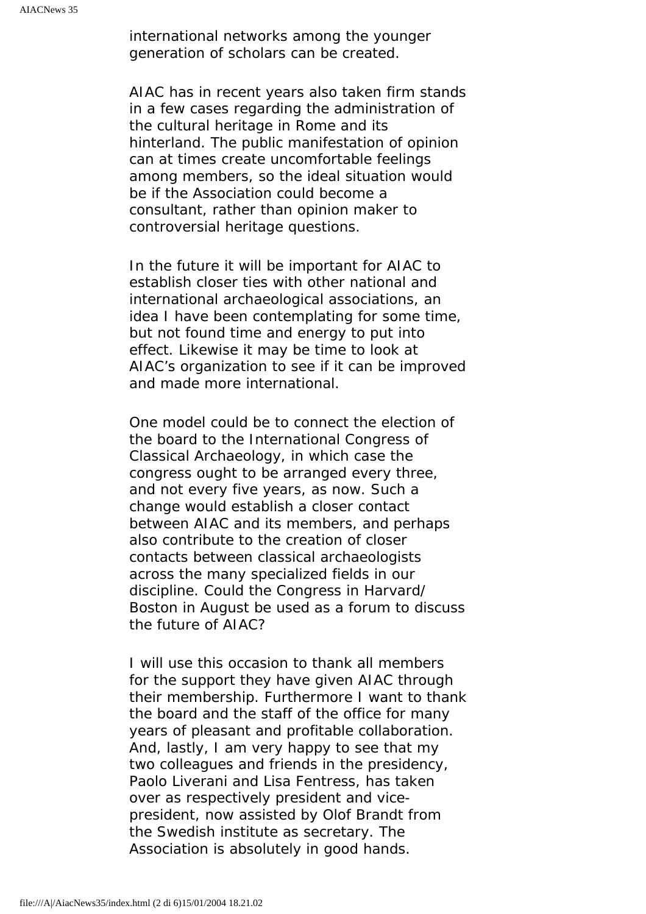international networks among the younger generation of scholars can be created.

AIAC has in recent years also taken firm stands in a few cases regarding the administration of the cultural heritage in Rome and its hinterland. The public manifestation of opinion can at times create uncomfortable feelings among members, so the ideal situation would be if the Association could become a consultant, rather than opinion maker to controversial heritage questions.

In the future it will be important for AIAC to establish closer ties with other national and international archaeological associations, an idea I have been contemplating for some time, but not found time and energy to put into effect. Likewise it may be time to look at AIAC's organization to see if it can be improved and made more international.

One model could be to connect the election of the board to the International Congress of Classical Archaeology, in which case the congress ought to be arranged every three, and not every five years, as now. Such a change would establish a closer contact between AIAC and its members, and perhaps also contribute to the creation of closer contacts between classical archaeologists across the many specialized fields in our discipline. Could the Congress in Harvard/ Boston in August be used as a forum to discuss the future of AIAC?

I will use this occasion to thank all members for the support they have given AIAC through their membership. Furthermore I want to thank the board and the staff of the office for many years of pleasant and profitable collaboration. And, lastly, I am very happy to see that my two colleagues and friends in the presidency, Paolo Liverani and Lisa Fentress, has taken over as respectively president and vicepresident, now assisted by Olof Brandt from the Swedish institute as secretary. The Association is absolutely in good hands.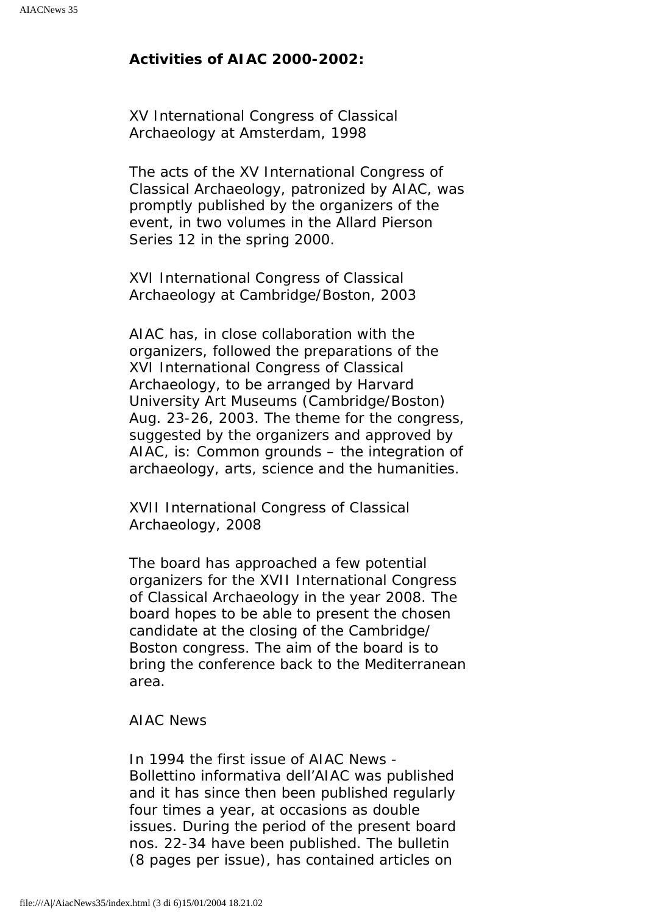### **Activities of AIAC 2000-2002:**

*XV International Congress of Classical Archaeology at Amsterdam, 1998*

The acts of the XV International Congress of Classical Archaeology, patronized by AIAC, was promptly published by the organizers of the event, in two volumes in the Allard Pierson Series 12 in the spring 2000.

### *XVI International Congress of Classical Archaeology at Cambridge/Boston, 2003*

AIAC has, in close collaboration with the organizers, followed the preparations of the XVI International Congress of Classical Archaeology, to be arranged by Harvard University Art Museums (Cambridge/Boston) Aug. 23-26, 2003. The theme for the congress, suggested by the organizers and approved by AIAC, is: Common grounds – the integration of archaeology, arts, science and the humanities.

### *XVII International Congress of Classical Archaeology, 2008*

The board has approached a few potential organizers for the XVII International Congress of Classical Archaeology in the year 2008. The board hopes to be able to present the chosen candidate at the closing of the Cambridge/ Boston congress. The aim of the board is to bring the conference back to the Mediterranean area.

### *AIAC News*

In 1994 the first issue of AIAC News - Bollettino informativa dell'AIAC was published and it has since then been published regularly four times a year, at occasions as double issues. During the period of the present board nos. 22-34 have been published. The bulletin (8 pages per issue), has contained articles on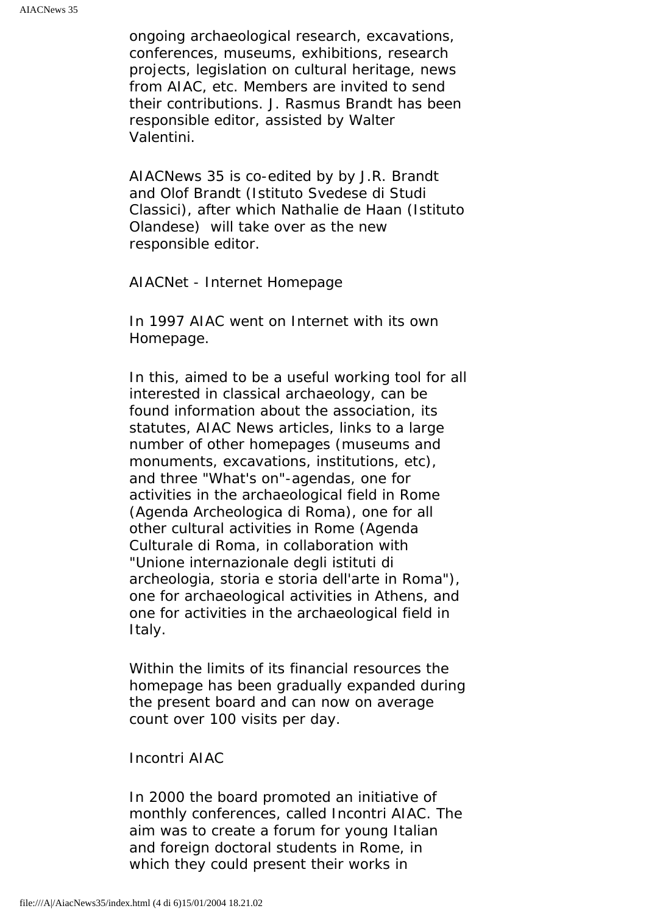ongoing archaeological research, excavations, conferences, museums, exhibitions, research projects, legislation on cultural heritage, news from AIAC, etc. Members are invited to send their contributions. J. Rasmus Brandt has been responsible editor, assisted by Walter Valentini.

AIACNews 35 is co-edited by by J.R. Brandt and Olof Brandt (Istituto Svedese di Studi Classici), after which Nathalie de Haan (Istituto Olandese) will take over as the new responsible editor.

#### *AIACNet - Internet Homepage*

In 1997 AIAC went on Internet with its own Homepage.

In this, aimed to be a useful working tool for all interested in classical archaeology, can be found information about the association, its statutes, AIAC News articles, links to a large number of other homepages (museums and monuments, excavations, institutions, etc), and three "What's on"-agendas, one for activities in the archaeological field in Rome (Agenda Archeologica di Roma), one for all other cultural activities in Rome (Agenda Culturale di Roma, in collaboration with "Unione internazionale degli istituti di archeologia, storia e storia dell'arte in Roma"), one for archaeological activities in Athens, and one for activities in the archaeological field in Italy.

Within the limits of its financial resources the homepage has been gradually expanded during the present board and can now on average count over 100 visits per day.

#### *Incontri AIAC*

In 2000 the board promoted an initiative of monthly conferences, called Incontri AIAC. The aim was to create a forum for young Italian and foreign doctoral students in Rome, in which they could present their works in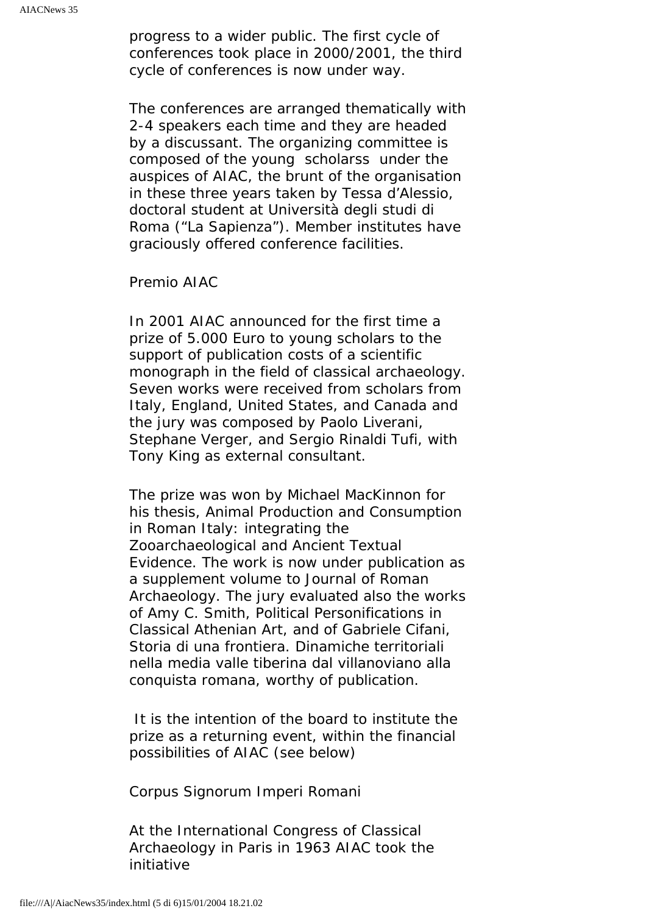progress to a wider public. The first cycle of conferences took place in 2000/2001, the third cycle of conferences is now under way.

The conferences are arranged thematically with 2-4 speakers each time and they are headed by a discussant. The organizing committee is composed of the young scholarss under the auspices of AIAC, the brunt of the organisation in these three years taken by Tessa d'Alessio, doctoral student at Università degli studi di Roma ("La Sapienza"). Member institutes have graciously offered conference facilities.

*Premio AIAC*

In 2001 AIAC announced for the first time a prize of 5.000 Euro to young scholars to the support of publication costs of a scientific monograph in the field of classical archaeology. Seven works were received from scholars from Italy, England, United States, and Canada and the jury was composed by Paolo Liverani, Stephane Verger, and Sergio Rinaldi Tufi, with Tony King as external consultant.

The prize was won by Michael MacKinnon for his thesis, Animal Production and Consumption in Roman Italy: integrating the Zooarchaeological and Ancient Textual Evidence. The work is now under publication as a supplement volume to Journal of Roman Archaeology. The jury evaluated also the works of Amy C. Smith, Political Personifications in Classical Athenian Art, and of Gabriele Cifani, Storia di una frontiera. Dinamiche territoriali nella media valle tiberina dal villanoviano alla conquista romana, worthy of publication.

 It is the intention of the board to institute the prize as a returning event, within the financial possibilities of AIAC (see below)

#### *Corpus Signorum Imperi Romani*

At the International Congress of Classical Archaeology in Paris in 1963 AIAC took the initiative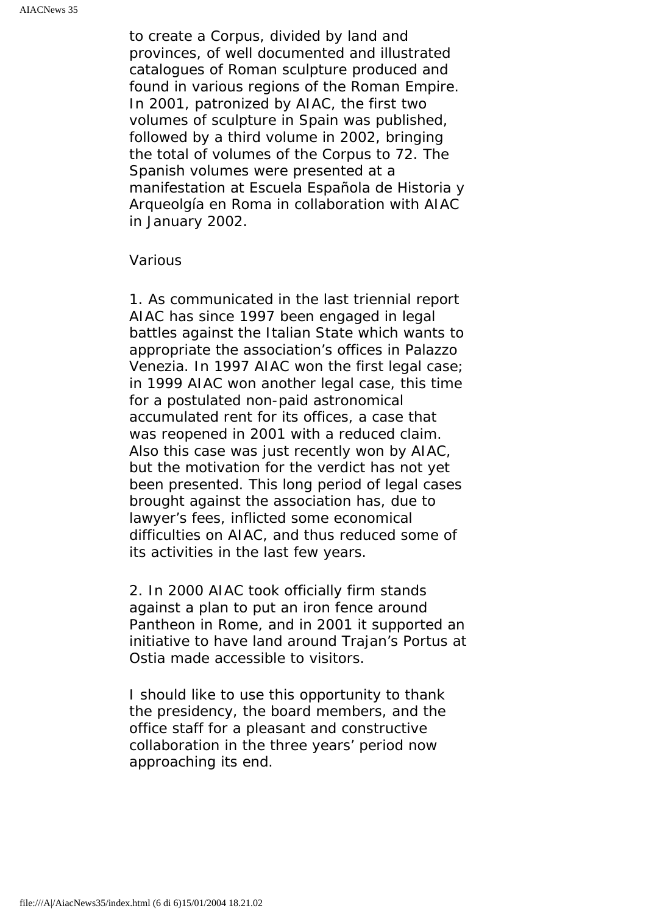to create a Corpus, divided by land and provinces, of well documented and illustrated catalogues of Roman sculpture produced and found in various regions of the Roman Empire. In 2001, patronized by AIAC, the first two volumes of sculpture in Spain was published, followed by a third volume in 2002, bringing the total of volumes of the Corpus to 72. The Spanish volumes were presented at a manifestation at Escuela Española de Historia y Arqueolgía en Roma in collaboration with AIAC in January 2002.

#### *Various*

1. As communicated in the last triennial report AIAC has since 1997 been engaged in legal battles against the Italian State which wants to appropriate the association's offices in Palazzo Venezia. In 1997 AIAC won the first legal case; in 1999 AIAC won another legal case, this time for a postulated non-paid astronomical accumulated rent for its offices, a case that was reopened in 2001 with a reduced claim. Also this case was just recently won by AIAC, but the motivation for the verdict has not yet been presented. This long period of legal cases brought against the association has, due to lawyer's fees, inflicted some economical difficulties on AIAC, and thus reduced some of its activities in the last few years.

2. In 2000 AIAC took officially firm stands against a plan to put an iron fence around Pantheon in Rome, and in 2001 it supported an initiative to have land around Trajan's Portus at Ostia made accessible to visitors.

I should like to use this opportunity to thank the presidency, the board members, and the office staff for a pleasant and constructive collaboration in the three years' period now approaching its end.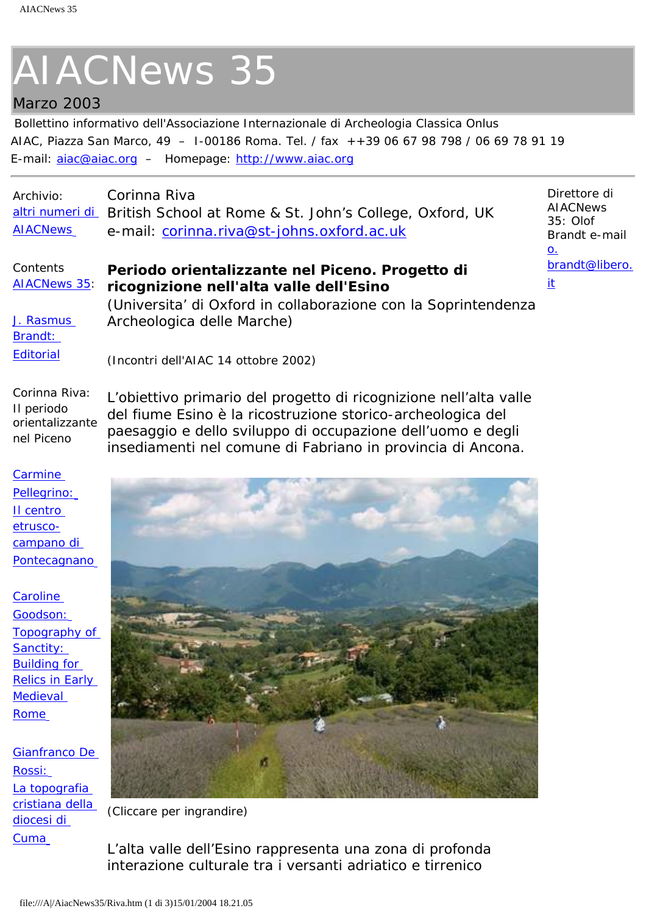## <span id="page-6-0"></span>Marzo 2003

Bollettino informativo dell'Associazione Internazionale di Archeologia Classica Onlus AIAC, Piazza San Marco, 49 – I-00186 Roma. Tel. / fax ++39 06 67 98 798 / 06 69 78 91 19 E-mail: [aiac@aiac.org](mailto:aiac@aiac.org) – Homepage: [http://www.aiac.org](http://www.aiac.org/)

| Archivio:       | Corinna Riva                                                            |
|-----------------|-------------------------------------------------------------------------|
|                 | altri numeri di British School at Rome & St. John's College, Oxford, UK |
| <b>AIACNews</b> | e-mail: corinna.riva@st-johns.oxford.ac.uk                              |

#### **Contents** [AIACNews 35:](#page-0-0) **Periodo orientalizzante nel Piceno. Progetto di ricognizione nell'alta valle dell'Esino**

Direttore di **AIACNews** 35: Olof Brandt e-mail [o.](mailto:o.brandt@libero.it) [brandt@libero.](mailto:o.brandt@libero.it) [it](mailto:o.brandt@libero.it)

[J. Rasmus](#page-0-0)  [Brandt:](#page-0-0) **[Editorial](#page-0-0)** 

(Universita' di Oxford in collaborazione con la Soprintendenza Archeologica delle Marche)

(Incontri dell'AIAC 14 ottobre 2002)

Corinna Riva: Il periodo orientalizzante nel Piceno L'obiettivo primario del progetto di ricognizione nell'alta valle del fiume Esino è la ricostruzione storico-archeologica del paesaggio e dello sviluppo di occupazione dell'uomo e degli insediamenti nel comune di Fabriano in provincia di Ancona.

**[Carmine](#page-9-0)** [Pellegrino:](#page-9-0)

[Il centro](#page-9-0)  [etrusco](#page-9-0)[campano di](#page-9-0) **[Pontecagnano](#page-9-0)** 

**[Caroline](#page-12-0)** [Goodson:](#page-12-0) [Topography of](#page-12-0)  Sanctity: [Building for](#page-12-0)  [Relics in Early](#page-12-0) [Medieval](#page-12-0) [Rome](#page-12-0)

[Gianfranco De](#page-15-0) [Rossi:](#page-15-0) La topografia [cristiana della](#page-15-0)  [diocesi di](#page-15-0) **[Cuma](#page-15-0)** 



*(Cliccare per ingrandire)*

L'alta valle dell'Esino rappresenta una zona di profonda interazione culturale tra i versanti adriatico e tirrenico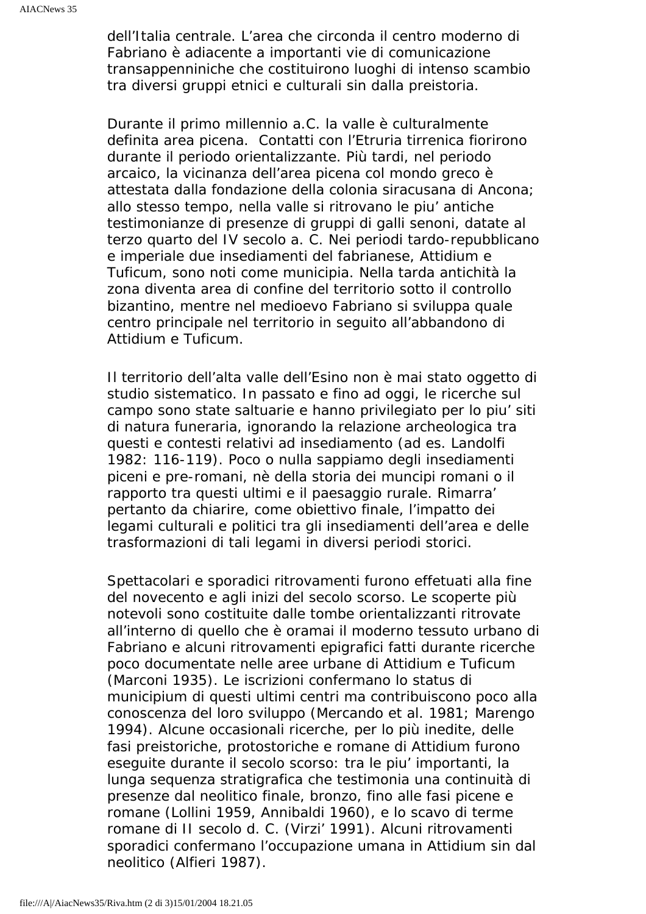dell'Italia centrale. L'area che circonda il centro moderno di Fabriano è adiacente a importanti vie di comunicazione transappenniniche che costituirono luoghi di intenso scambio tra diversi gruppi etnici e culturali sin dalla preistoria.

Durante il primo millennio a.C. la valle è culturalmente definita area picena. Contatti con l'Etruria tirrenica fiorirono durante il periodo orientalizzante. Più tardi, nel periodo arcaico, la vicinanza dell'area picena col mondo greco è attestata dalla fondazione della colonia siracusana di Ancona; allo stesso tempo, nella valle si ritrovano le piu' antiche testimonianze di presenze di gruppi di galli senoni, datate al terzo quarto del IV secolo a. C. Nei periodi tardo-repubblicano e imperiale due insediamenti del fabrianese, Attidium e Tuficum, sono noti come municipia. Nella tarda antichità la zona diventa area di confine del territorio sotto il controllo bizantino, mentre nel medioevo Fabriano si sviluppa quale centro principale nel territorio in seguito all'abbandono di Attidium e Tuficum.

Il territorio dell'alta valle dell'Esino non è mai stato oggetto di studio sistematico. In passato e fino ad oggi, le ricerche sul campo sono state saltuarie e hanno privilegiato per lo piu' siti di natura funeraria, ignorando la relazione archeologica tra questi e contesti relativi ad insediamento (ad es. Landolfi 1982: 116-119). Poco o nulla sappiamo degli insediamenti piceni e pre-romani, nè della storia dei muncipi romani o il rapporto tra questi ultimi e il paesaggio rurale. Rimarra' pertanto da chiarire, come obiettivo finale, l'impatto dei legami culturali e politici tra gli insediamenti dell'area e delle trasformazioni di tali legami in diversi periodi storici.

Spettacolari e sporadici ritrovamenti furono effetuati alla fine del novecento e agli inizi del secolo scorso. Le scoperte più notevoli sono costituite dalle tombe orientalizzanti ritrovate all'interno di quello che è oramai il moderno tessuto urbano di Fabriano e alcuni ritrovamenti epigrafici fatti durante ricerche poco documentate nelle aree urbane di Attidium e Tuficum (Marconi 1935). Le iscrizioni confermano lo status di municipium di questi ultimi centri ma contribuiscono poco alla conoscenza del loro sviluppo (Mercando et al. 1981; Marengo 1994). Alcune occasionali ricerche, per lo più inedite, delle fasi preistoriche, protostoriche e romane di Attidium furono eseguite durante il secolo scorso: tra le piu' importanti, la lunga sequenza stratigrafica che testimonia una continuità di presenze dal neolitico finale, bronzo, fino alle fasi picene e romane (Lollini 1959, Annibaldi 1960), e lo scavo di terme romane di II secolo d. C. (Virzi' 1991). Alcuni ritrovamenti sporadici confermano l'occupazione umana in Attidium sin dal neolitico (Alfieri 1987).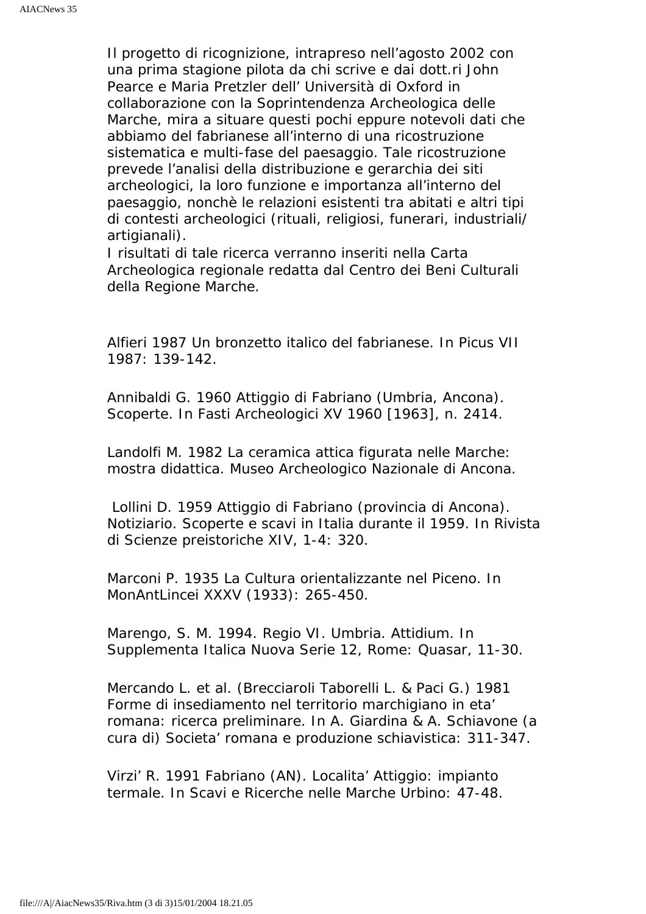Il progetto di ricognizione, intrapreso nell'agosto 2002 con una prima stagione pilota da chi scrive e dai dott.ri John Pearce e Maria Pretzler dell' Università di Oxford in collaborazione con la Soprintendenza Archeologica delle Marche, mira a situare questi pochi eppure notevoli dati che abbiamo del fabrianese all'interno di una ricostruzione sistematica e multi-fase del paesaggio. Tale ricostruzione prevede l'analisi della distribuzione e gerarchia dei siti archeologici, la loro funzione e importanza all'interno del paesaggio, nonchè le relazioni esistenti tra abitati e altri tipi di contesti archeologici (rituali, religiosi, funerari, industriali/ artigianali).

I risultati di tale ricerca verranno inseriti nella Carta Archeologica regionale redatta dal Centro dei Beni Culturali della Regione Marche.

Alfieri 1987 Un bronzetto italico del fabrianese. In Picus VII 1987: 139-142.

Annibaldi G. 1960 Attiggio di Fabriano (Umbria, Ancona). Scoperte. In Fasti Archeologici XV 1960 [1963], n. 2414.

Landolfi M. 1982 La ceramica attica figurata nelle Marche: mostra didattica. Museo Archeologico Nazionale di Ancona.

 Lollini D. 1959 Attiggio di Fabriano (provincia di Ancona). Notiziario. Scoperte e scavi in Italia durante il 1959. In Rivista di Scienze preistoriche XIV, 1-4: 320.

Marconi P. 1935 La Cultura orientalizzante nel Piceno. In MonAntLincei XXXV (1933): 265-450.

Marengo, S. M. 1994. Regio VI. Umbria. Attidium. In Supplementa Italica Nuova Serie 12, Rome: Quasar, 11-30.

Mercando L. et al. (Brecciaroli Taborelli L. & Paci G.) 1981 Forme di insediamento nel territorio marchigiano in eta' romana: ricerca preliminare. In A. Giardina & A. Schiavone (a cura di) Societa' romana e produzione schiavistica: 311-347.

Virzi' R. 1991 Fabriano (AN). Localita' Attiggio: impianto termale. In Scavi e Ricerche nelle Marche Urbino: 47-48.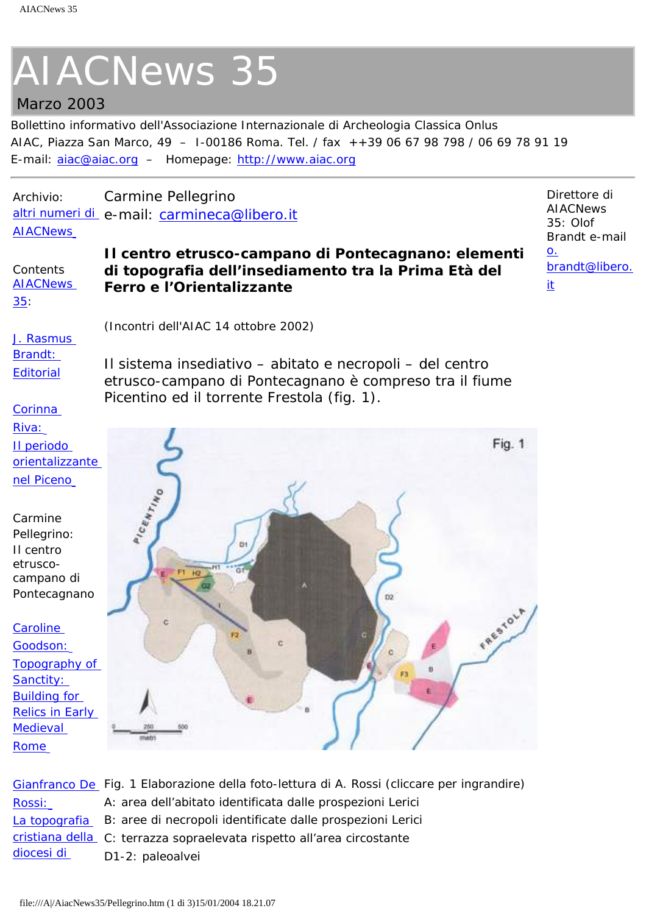# <span id="page-9-0"></span>Marzo 2003

Bollettino informativo dell'Associazione Internazionale di Archeologia Classica Onlus AIAC, Piazza San Marco, 49 – I-00186 Roma. Tel. / fax ++39 06 67 98 798 / 06 69 78 91 19 E-mail: [aiac@aiac.org](mailto:aiac@aiac.org) – Homepage: [http://www.aiac.org](http://www.aiac.org/)

Archivio: [altri numeri di](file:///A|/Archivio.html) e-mail: [carmineca@libero.it](mailto:carmineca@libero.it) **[AIACNews](file:///A|/Archivio.html)** Carmine Pellegrino

(Incontri dell'AIAC 14 ottobre 2002)

Picentino ed il torrente Frestola (fig. 1).

Contents **AIACNews Il centro etrusco-campano di Pontecagnano: elementi di topografia dell'insediamento tra la Prima Età del Ferro e l'Orientalizzante**

> Il sistema insediativo – abitato e necropoli – del centro etrusco-campano di Pontecagnano è compreso tra il fiume

Direttore di **AIACNews**  $35:$  Olof Brandt e-mail [o.](mailto:o.brandt@libero.it) [brandt@libero.](mailto:o.brandt@libero.it) [it](mailto:o.brandt@libero.it)

[35](#page-0-0):

[J. Rasmus](#page-0-0) [Brandt:](#page-0-0)  **[Editorial](#page-0-0)** 

**[Corinna](#page-6-0)** [Riva:](#page-6-0)

[Il periodo](#page-6-0) [orientalizzante](#page-6-0) [nel Piceno](#page-6-0)

Carmine Pellegrino: Il centro etruscocampano di Pontecagnano

**Caroline** [Goodson:](#page-12-0) [Topography of](#page-12-0) [Sanctity:](#page-12-0) [Building for](#page-12-0) [Relics in Early](#page-12-0)  **Medieval** [Rome](#page-12-0)



[Gianfranco De](#page-15-0)  *Fig. 1 Elaborazione della foto-lettura di A. Rossi (cliccare per ingrandire)* [Rossi:](#page-15-0) [La topografia](#page-15-0) *B: aree di necropoli identificate dalle prospezioni Lerici* [cristiana della](#page-15-0) *C: terrazza sopraelevata rispetto all'area circostante* [diocesi di](#page-15-0)  *A: area dell'abitato identificata dalle prospezioni Lerici D1-2: paleoalvei*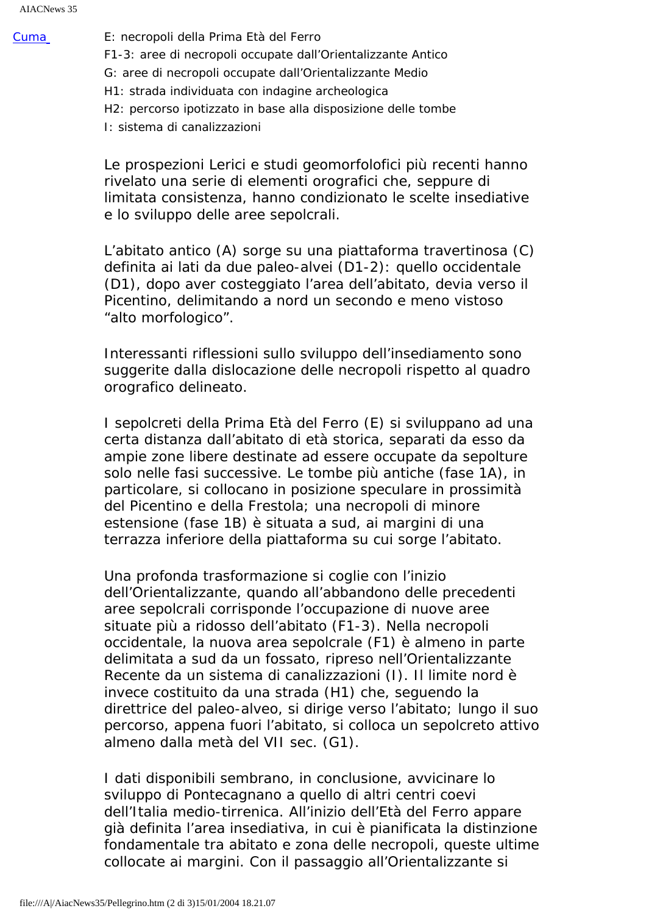[Cuma](#page-15-0) *E: necropoli della Prima Età del Ferro F1-3: aree di necropoli occupate dall'Orientalizzante Antico G: aree di necropoli occupate dall'Orientalizzante Medio H1: strada individuata con indagine archeologica H2: percorso ipotizzato in base alla disposizione delle tombe I: sistema di canalizzazioni*

> Le prospezioni Lerici e studi geomorfolofici più recenti hanno rivelato una serie di elementi orografici che, seppure di limitata consistenza, hanno condizionato le scelte insediative e lo sviluppo delle aree sepolcrali.

> L'abitato antico (A) sorge su una piattaforma travertinosa (C) definita ai lati da due paleo-alvei (D1-2): quello occidentale (D1), dopo aver costeggiato l'area dell'abitato, devia verso il Picentino, delimitando a nord un secondo e meno vistoso "alto morfologico".

> Interessanti riflessioni sullo sviluppo dell'insediamento sono suggerite dalla dislocazione delle necropoli rispetto al quadro orografico delineato.

> I sepolcreti della Prima Età del Ferro (E) si sviluppano ad una certa distanza dall'abitato di età storica, separati da esso da ampie zone libere destinate ad essere occupate da sepolture solo nelle fasi successive. Le tombe più antiche (fase 1A), in particolare, si collocano in posizione speculare in prossimità del Picentino e della Frestola; una necropoli di minore estensione (fase 1B) è situata a sud, ai margini di una terrazza inferiore della piattaforma su cui sorge l'abitato.

Una profonda trasformazione si coglie con l'inizio dell'Orientalizzante, quando all'abbandono delle precedenti aree sepolcrali corrisponde l'occupazione di nuove aree situate più a ridosso dell'abitato (F1-3). Nella necropoli occidentale, la nuova area sepolcrale (F1) è almeno in parte delimitata a sud da un fossato, ripreso nell'Orientalizzante Recente da un sistema di canalizzazioni (I). Il limite nord è invece costituito da una strada (H1) che, seguendo la direttrice del paleo-alveo, si dirige verso l'abitato; lungo il suo percorso, appena fuori l'abitato, si colloca un sepolcreto attivo almeno dalla metà del VII sec. (G1).

I dati disponibili sembrano, in conclusione, avvicinare lo sviluppo di Pontecagnano a quello di altri centri coevi dell'Italia medio-tirrenica. All'inizio dell'Età del Ferro appare già definita l'area insediativa, in cui è pianificata la distinzione fondamentale tra abitato e zona delle necropoli, queste ultime collocate ai margini. Con il passaggio all'Orientalizzante si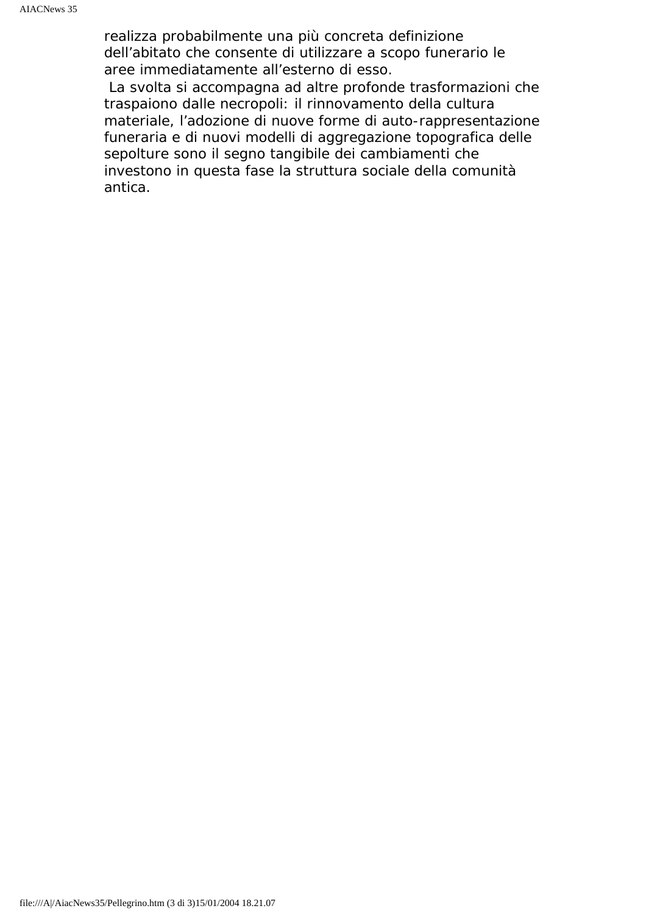realizza probabilmente una più concreta definizione dell'abitato che consente di utilizzare a scopo funerario le aree immediatamente all'esterno di esso.

 La svolta si accompagna ad altre profonde trasformazioni che traspaiono dalle necropoli: il rinnovamento della cultura materiale, l'adozione di nuove forme di auto-rappresentazione funeraria e di nuovi modelli di aggregazione topografica delle sepolture sono il segno tangibile dei cambiamenti che investono in questa fase la struttura sociale della comunità antica.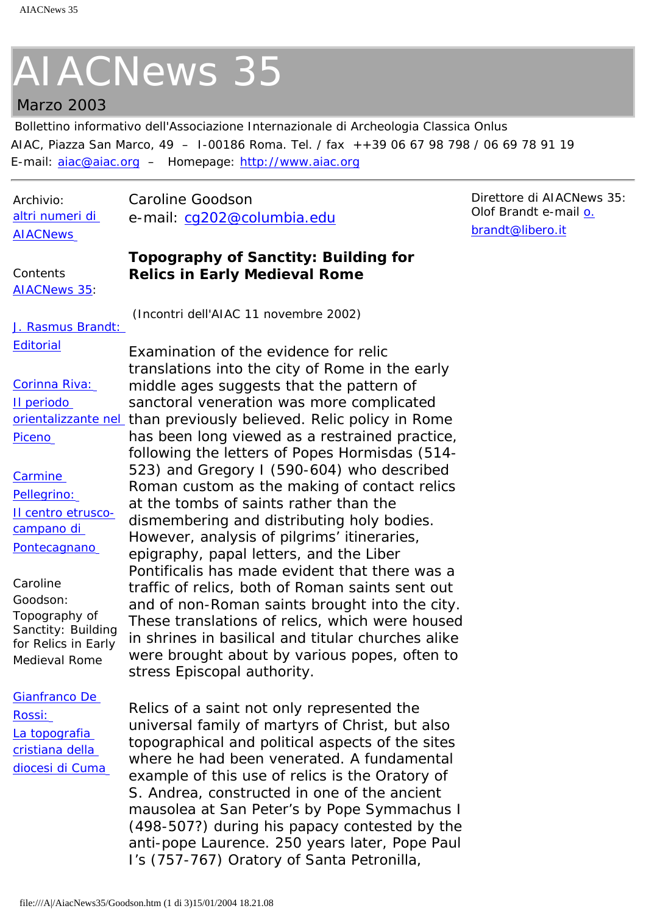### <span id="page-12-0"></span>Marzo 2003

Bollettino informativo dell'Associazione Internazionale di Archeologia Classica Onlus AIAC, Piazza San Marco, 49 – I-00186 Roma. Tel. / fax ++39 06 67 98 798 / 06 69 78 91 19 E-mail: [aiac@aiac.org](mailto:aiac@aiac.org) – Homepage: [http://www.aiac.org](http://www.aiac.org/)

> example of this use of relics is the Oratory of S. Andrea, constructed in one of the ancient mausolea at San Peter's by Pope Symmachus I (498-507?) during his papacy contested by the anti-pope Laurence. 250 years later, Pope Paul

I's (757-767) Oratory of Santa Petronilla,

| Archivio:                                                                                                                                 | Caroline Goodson                                                                                                                                                                                                                                                                                                                                                                                                                                                                        |
|-------------------------------------------------------------------------------------------------------------------------------------------|-----------------------------------------------------------------------------------------------------------------------------------------------------------------------------------------------------------------------------------------------------------------------------------------------------------------------------------------------------------------------------------------------------------------------------------------------------------------------------------------|
| altri numeri di                                                                                                                           | e-mail: cg202@columbia.edu                                                                                                                                                                                                                                                                                                                                                                                                                                                              |
| <b>AIACNews</b>                                                                                                                           |                                                                                                                                                                                                                                                                                                                                                                                                                                                                                         |
| Contents<br><b>AIACNews 35:</b>                                                                                                           | <b>Topography of Sanctity: Building for</b><br><b>Relics in Early Medieval Rome</b>                                                                                                                                                                                                                                                                                                                                                                                                     |
| J. Rasmus Brandt:                                                                                                                         | (Incontri dell'AIAC 11 novembre 2002)                                                                                                                                                                                                                                                                                                                                                                                                                                                   |
| <b>Editorial</b>                                                                                                                          | Examination of the evidence for relic<br>translations into the city of Rome in the early                                                                                                                                                                                                                                                                                                                                                                                                |
| Corinna Riva:                                                                                                                             | middle ages suggests that the pattern of                                                                                                                                                                                                                                                                                                                                                                                                                                                |
| Il periodo                                                                                                                                | sanctoral veneration was more complicated                                                                                                                                                                                                                                                                                                                                                                                                                                               |
|                                                                                                                                           | orientalizzante nel than previously believed. Relic policy in Rome                                                                                                                                                                                                                                                                                                                                                                                                                      |
| Piceno                                                                                                                                    | has been long viewed as a restrained practice,<br>following the letters of Popes Hormisdas (514-                                                                                                                                                                                                                                                                                                                                                                                        |
| Carmine<br>Pellegrino:<br>Il centro etrusco-<br>campano di<br>Pontecagnano<br>Caroline<br>Goodson:<br>Topography of<br>Sanctity: Building | 523) and Gregory I (590-604) who described<br>Roman custom as the making of contact relics<br>at the tombs of saints rather than the<br>dismembering and distributing holy bodies.<br>However, analysis of pilgrims' itineraries,<br>epigraphy, papal letters, and the Liber<br>Pontificalis has made evident that there was a<br>traffic of relics, both of Roman saints sent out<br>and of non-Roman saints brought into the city.<br>These translations of relics, which were housed |
| for Relics in Early<br>Medieval Rome                                                                                                      | in shrines in basilical and titular churches alike<br>were brought about by various popes, often to<br>stress Episcopal authority.                                                                                                                                                                                                                                                                                                                                                      |
| Gianfranco De<br>Rossi:<br>La topografia<br>cristiana della                                                                               | Relics of a saint not only represented the<br>universal family of martyrs of Christ, but also<br>topographical and political aspects of the sites<br>where he had been venerated. A fundamental                                                                                                                                                                                                                                                                                         |

Direttore di AIACNews 35: Olof Brandt e-mail [o.](mailto:o.brandt@libero.it) [brandt@libero.it](mailto:o.brandt@libero.it)

[diocesi di Cuma](#page-15-0)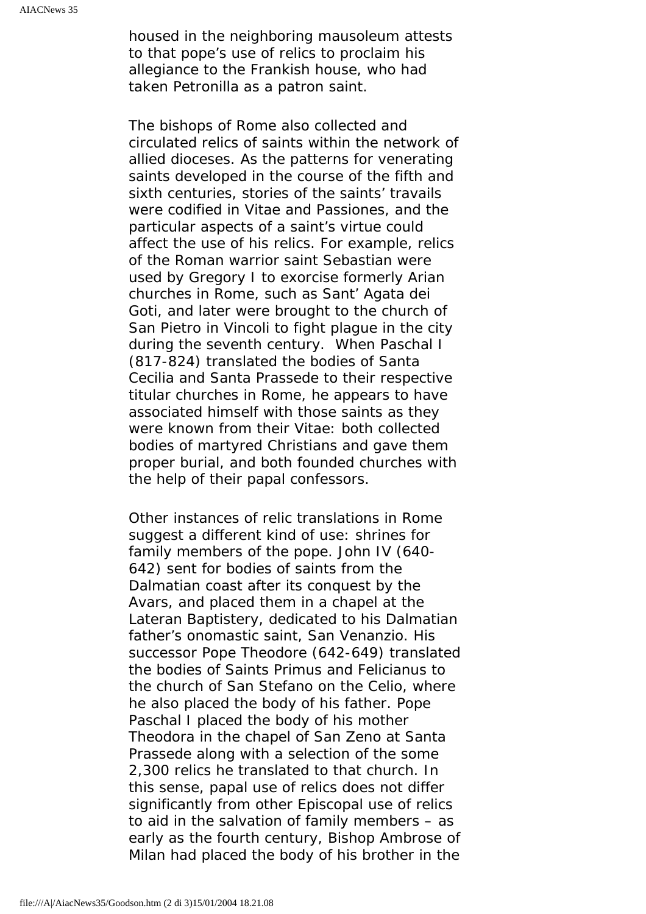housed in the neighboring mausoleum attests to that pope's use of relics to proclaim his allegiance to the Frankish house, who had taken Petronilla as a patron saint.

The bishops of Rome also collected and circulated relics of saints within the network of allied dioceses. As the patterns for venerating saints developed in the course of the fifth and sixth centuries, stories of the saints' travails were codified in Vitae and Passiones, and the particular aspects of a saint's virtue could affect the use of his relics. For example, relics of the Roman warrior saint Sebastian were used by Gregory I to exorcise formerly Arian churches in Rome, such as Sant' Agata dei Goti, and later were brought to the church of San Pietro in Vincoli to fight plague in the city during the seventh century. When Paschal I (817-824) translated the bodies of Santa Cecilia and Santa Prassede to their respective titular churches in Rome, he appears to have associated himself with those saints as they were known from their Vitae: both collected bodies of martyred Christians and gave them proper burial, and both founded churches with the help of their papal confessors.

Other instances of relic translations in Rome suggest a different kind of use: shrines for family members of the pope. John IV (640- 642) sent for bodies of saints from the Dalmatian coast after its conquest by the Avars, and placed them in a chapel at the Lateran Baptistery, dedicated to his Dalmatian father's onomastic saint, San Venanzio. His successor Pope Theodore (642-649) translated the bodies of Saints Primus and Felicianus to the church of San Stefano on the Celio, where he also placed the body of his father. Pope Paschal I placed the body of his mother Theodora in the chapel of San Zeno at Santa Prassede along with a selection of the some 2,300 relics he translated to that church. In this sense, papal use of relics does not differ significantly from other Episcopal use of relics to aid in the salvation of family members – as early as the fourth century, Bishop Ambrose of Milan had placed the body of his brother in the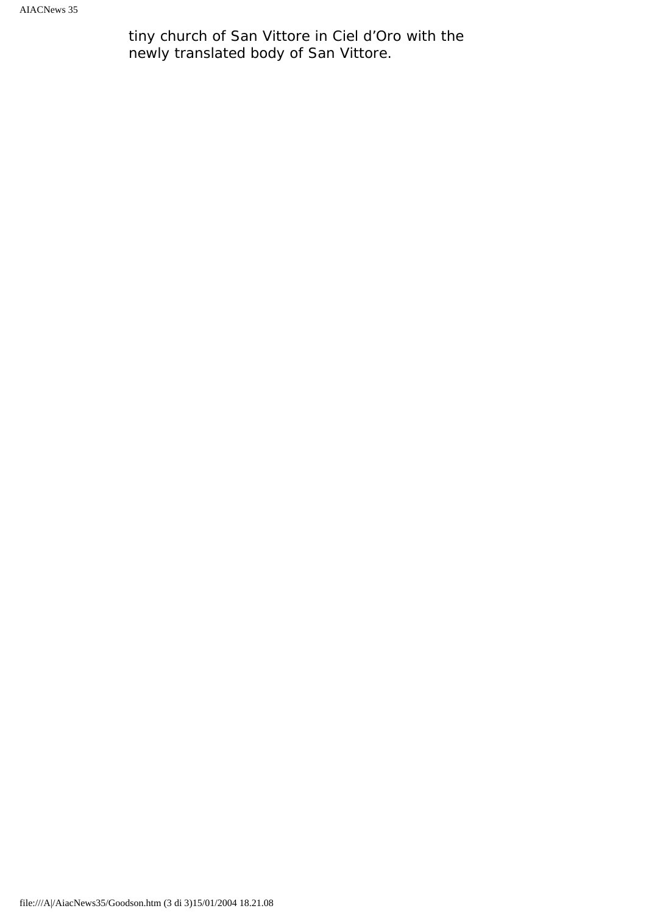tiny church of San Vittore in Ciel d'Oro with the newly translated body of San Vittore.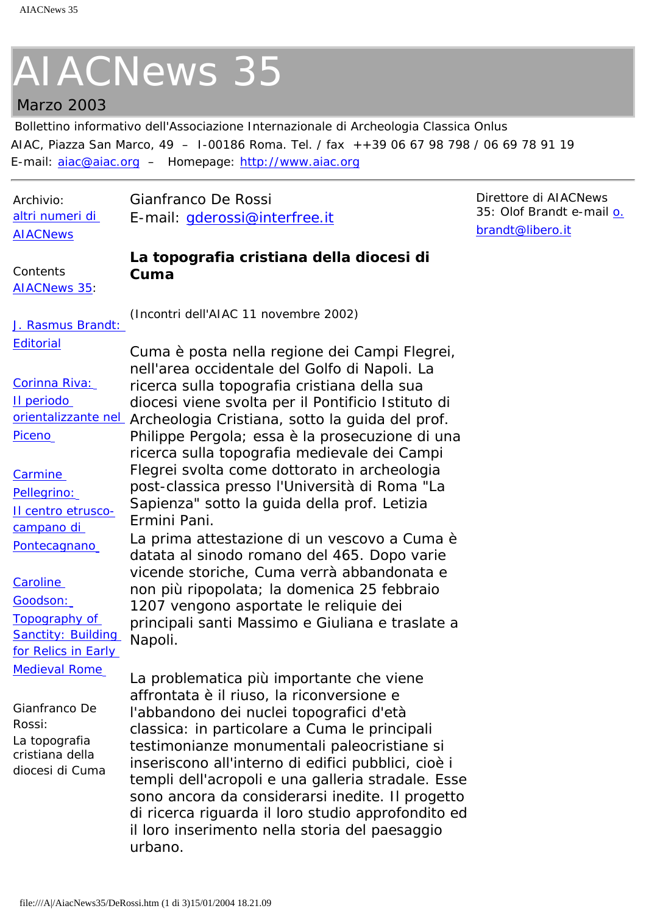### <span id="page-15-0"></span>Marzo 2003

Bollettino informativo dell'Associazione Internazionale di Archeologia Classica Onlus AIAC, Piazza San Marco, 49 – I-00186 Roma. Tel. / fax ++39 06 67 98 798 / 06 69 78 91 19 E-mail: [aiac@aiac.org](mailto:aiac@aiac.org) – Homepage: [http://www.aiac.org](http://www.aiac.org/)

| Archivio:                                                                                                                                                                                                                           | Gianfranco De Rossi                                                                                                                                                                                                                                                                                                                                                                                                                                                                                                                                                                                                                                                                                                                                                                                        | Direttore di AIACNews     |
|-------------------------------------------------------------------------------------------------------------------------------------------------------------------------------------------------------------------------------------|------------------------------------------------------------------------------------------------------------------------------------------------------------------------------------------------------------------------------------------------------------------------------------------------------------------------------------------------------------------------------------------------------------------------------------------------------------------------------------------------------------------------------------------------------------------------------------------------------------------------------------------------------------------------------------------------------------------------------------------------------------------------------------------------------------|---------------------------|
| altri numeri di                                                                                                                                                                                                                     | E-mail: gderossi@interfree.it                                                                                                                                                                                                                                                                                                                                                                                                                                                                                                                                                                                                                                                                                                                                                                              | 35: Olof Brandt e-mail o. |
| <b>AIACNews</b>                                                                                                                                                                                                                     |                                                                                                                                                                                                                                                                                                                                                                                                                                                                                                                                                                                                                                                                                                                                                                                                            | brandt@libero.it          |
| Contents<br><b>AIACNews 35:</b>                                                                                                                                                                                                     | La topografia cristiana della diocesi di<br>Cuma                                                                                                                                                                                                                                                                                                                                                                                                                                                                                                                                                                                                                                                                                                                                                           |                           |
| J. Rasmus Brandt:<br><b>Editorial</b><br>Corinna Riva:<br>Il periodo<br>orientalizzante nel<br>Piceno<br>Carmine<br>Pellegrino:<br>Il centro etrusco-<br>campano di<br>Pontecagnano<br><b>Caroline</b><br>Goodson:<br>Topography of | (Incontri dell'AIAC 11 novembre 2002)<br>Cuma è posta nella regione dei Campi Flegrei,<br>nell'area occidentale del Golfo di Napoli. La<br>ricerca sulla topografia cristiana della sua<br>diocesi viene svolta per il Pontificio Istituto di<br>Archeologia Cristiana, sotto la guida del prof.<br>Philippe Pergola; essa è la prosecuzione di una<br>ricerca sulla topografia medievale dei Campi<br>Flegrei svolta come dottorato in archeologia<br>post-classica presso l'Università di Roma "La<br>Sapienza" sotto la guida della prof. Letizia<br>Ermini Pani.<br>La prima attestazione di un vescovo a Cuma è<br>datata al sinodo romano del 465. Dopo varie<br>vicende storiche, Cuma verrà abbandonata e<br>non più ripopolata; la domenica 25 febbraio<br>1207 vengono asportate le reliquie dei |                           |
| <b>Sanctity: Building</b><br>for Relics in Early<br><b>Medieval Rome</b><br>Gianfranco De<br>Rossi:<br>La topografia<br>cristiana della<br>diocesi di Cuma                                                                          | principali santi Massimo e Giuliana e traslate a<br>Napoli.<br>La problematica più importante che viene<br>affrontata è il riuso, la riconversione e<br>l'abbandono dei nuclei topografici d'età<br>classica: in particolare a Cuma le principali<br>testimonianze monumentali paleocristiane si<br>inseriscono all'interno di edifici pubblici, cioè i<br>templi dell'acropoli e una galleria stradale. Esse<br>sono ancora da considerarsi inedite. Il progetto<br>di ricerca riguarda il loro studio approfondito ed<br>il loro inserimento nella storia del paesaggio<br>urbano.                                                                                                                                                                                                                       |                           |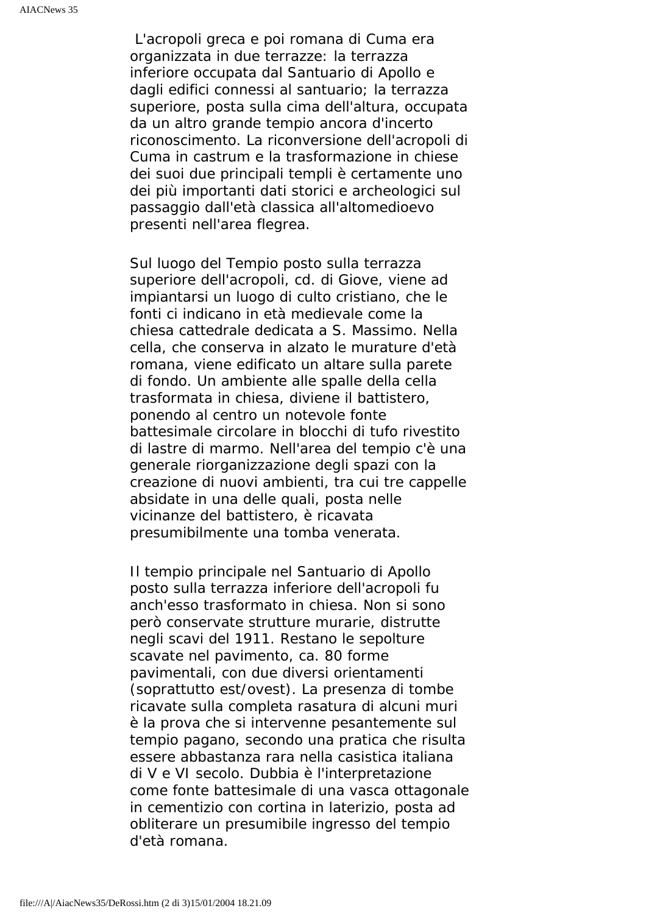L'acropoli greca e poi romana di Cuma era organizzata in due terrazze: la terrazza inferiore occupata dal Santuario di Apollo e dagli edifici connessi al santuario; la terrazza superiore, posta sulla cima dell'altura, occupata da un altro grande tempio ancora d'incerto riconoscimento. La riconversione dell'acropoli di Cuma in castrum e la trasformazione in chiese dei suoi due principali templi è certamente uno dei più importanti dati storici e archeologici sul passaggio dall'età classica all'altomedioevo presenti nell'area flegrea.

Sul luogo del Tempio posto sulla terrazza superiore dell'acropoli, cd. di Giove, viene ad impiantarsi un luogo di culto cristiano, che le fonti ci indicano in età medievale come la chiesa cattedrale dedicata a S. Massimo. Nella cella, che conserva in alzato le murature d'età romana, viene edificato un altare sulla parete di fondo. Un ambiente alle spalle della cella trasformata in chiesa, diviene il battistero, ponendo al centro un notevole fonte battesimale circolare in blocchi di tufo rivestito di lastre di marmo. Nell'area del tempio c'è una generale riorganizzazione degli spazi con la creazione di nuovi ambienti, tra cui tre cappelle absidate in una delle quali, posta nelle vicinanze del battistero, è ricavata presumibilmente una tomba venerata.

Il tempio principale nel Santuario di Apollo posto sulla terrazza inferiore dell'acropoli fu anch'esso trasformato in chiesa. Non si sono però conservate strutture murarie, distrutte negli scavi del 1911. Restano le sepolture scavate nel pavimento, ca. 80 forme pavimentali, con due diversi orientamenti (soprattutto est/ovest). La presenza di tombe ricavate sulla completa rasatura di alcuni muri è la prova che si intervenne pesantemente sul tempio pagano, secondo una pratica che risulta essere abbastanza rara nella casistica italiana di V e VI secolo. Dubbia è l'interpretazione come fonte battesimale di una vasca ottagonale in cementizio con cortina in laterizio, posta ad obliterare un presumibile ingresso del tempio d'età romana.